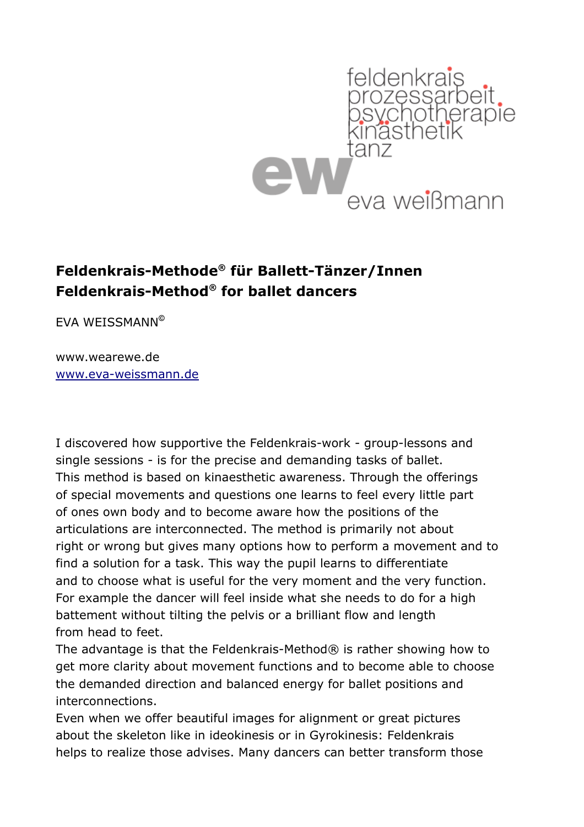

## **Feldenkrais-Methode® für Ballett-Tänzer/Innen Feldenkrais-Method® for ballet dancers**

EVA WEISSMANN**©**

www.wearewe.de [www.eva-weissmann.de](http://www.eva-weissmann.de/)

I discovered how supportive the Feldenkrais-work - group-lessons and single sessions - is for the precise and demanding tasks of ballet. This method is based on kinaesthetic awareness. Through the offerings of special movements and questions one learns to feel every little part of ones own body and to become aware how the positions of the articulations are interconnected. The method is primarily not about right or wrong but gives many options how to perform a movement and to find a solution for a task. This way the pupil learns to differentiate and to choose what is useful for the very moment and the very function. For example the dancer will feel inside what she needs to do for a high battement without tilting the pelvis or a brilliant flow and length from head to feet.

The advantage is that the Feldenkrais-Method® is rather showing how to get more clarity about movement functions and to become able to choose the demanded direction and balanced energy for ballet positions and interconnections.

Even when we offer beautiful images for alignment or great pictures about the skeleton like in ideokinesis or in Gyrokinesis: Feldenkrais helps to realize those advises. Many dancers can better transform those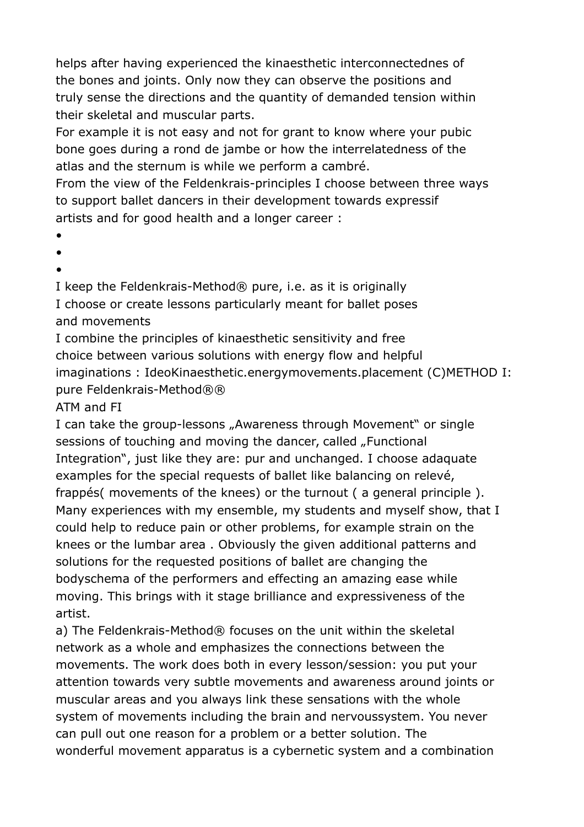helps after having experienced the kinaesthetic interconnectednes of the bones and joints. Only now they can observe the positions and truly sense the directions and the quantity of demanded tension within their skeletal and muscular parts.

For example it is not easy and not for grant to know where your pubic bone goes during a rond de jambe or how the interrelatedness of the atlas and the sternum is while we perform a cambré.

From the view of the Feldenkrais-principles I choose between three ways to support ballet dancers in their development towards expressif artists and for good health and a longer career :

- •
- •
- •

I keep the Feldenkrais-Method® pure, i.e. as it is originally I choose or create lessons particularly meant for ballet poses and movements

I combine the principles of kinaesthetic sensitivity and free choice between various solutions with energy flow and helpful imaginations : IdeoKinaesthetic.energymovements.placement (C)METHOD I: pure Feldenkrais-Method®®

## ATM and FI

I can take the group-lessons "Awareness through Movement" or single sessions of touching and moving the dancer, called "Functional Integration", just like they are: pur and unchanged. I choose adaquate examples for the special requests of ballet like balancing on relevé, frappés( movements of the knees) or the turnout ( a general principle ). Many experiences with my ensemble, my students and myself show, that I could help to reduce pain or other problems, for example strain on the knees or the lumbar area . Obviously the given additional patterns and solutions for the requested positions of ballet are changing the bodyschema of the performers and effecting an amazing ease while moving. This brings with it stage brilliance and expressiveness of the artist.

a) The Feldenkrais-Method® focuses on the unit within the skeletal network as a whole and emphasizes the connections between the movements. The work does both in every lesson/session: you put your attention towards very subtle movements and awareness around joints or muscular areas and you always link these sensations with the whole system of movements including the brain and nervoussystem. You never can pull out one reason for a problem or a better solution. The wonderful movement apparatus is a cybernetic system and a combination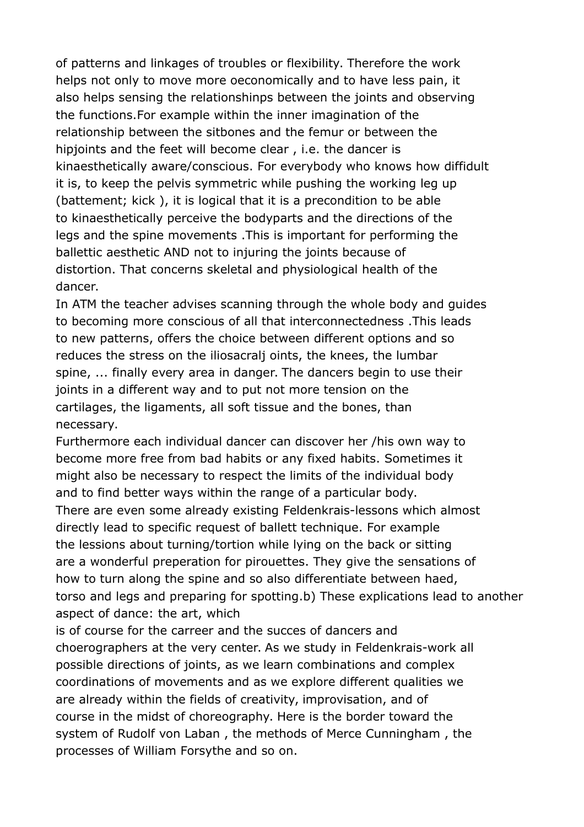of patterns and linkages of troubles or flexibility. Therefore the work helps not only to move more oeconomically and to have less pain, it also helps sensing the relationshinps between the joints and observing the functions.For example within the inner imagination of the relationship between the sitbones and the femur or between the hipjoints and the feet will become clear, i.e. the dancer is kinaesthetically aware/conscious. For everybody who knows how diffidult it is, to keep the pelvis symmetric while pushing the working leg up (battement; kick ), it is logical that it is a precondition to be able to kinaesthetically perceive the bodyparts and the directions of the legs and the spine movements .This is important for performing the ballettic aesthetic AND not to injuring the joints because of distortion. That concerns skeletal and physiological health of the dancer.

In ATM the teacher advises scanning through the whole body and guides to becoming more conscious of all that interconnectedness .This leads to new patterns, offers the choice between different options and so reduces the stress on the iliosacralj oints, the knees, the lumbar spine, ... finally every area in danger. The dancers begin to use their joints in a different way and to put not more tension on the cartilages, the ligaments, all soft tissue and the bones, than necessary.

Furthermore each individual dancer can discover her /his own way to become more free from bad habits or any fixed habits. Sometimes it might also be necessary to respect the limits of the individual body and to find better ways within the range of a particular body.

There are even some already existing Feldenkrais-lessons which almost directly lead to specific request of ballett technique. For example the lessions about turning/tortion while lying on the back or sitting are a wonderful preperation for pirouettes. They give the sensations of how to turn along the spine and so also differentiate between haed, torso and legs and preparing for spotting.b) These explications lead to another aspect of dance: the art, which

is of course for the carreer and the succes of dancers and choerographers at the very center. As we study in Feldenkrais-work all possible directions of joints, as we learn combinations and complex coordinations of movements and as we explore different qualities we are already within the fields of creativity, improvisation, and of course in the midst of choreography. Here is the border toward the system of Rudolf von Laban , the methods of Merce Cunningham , the processes of William Forsythe and so on.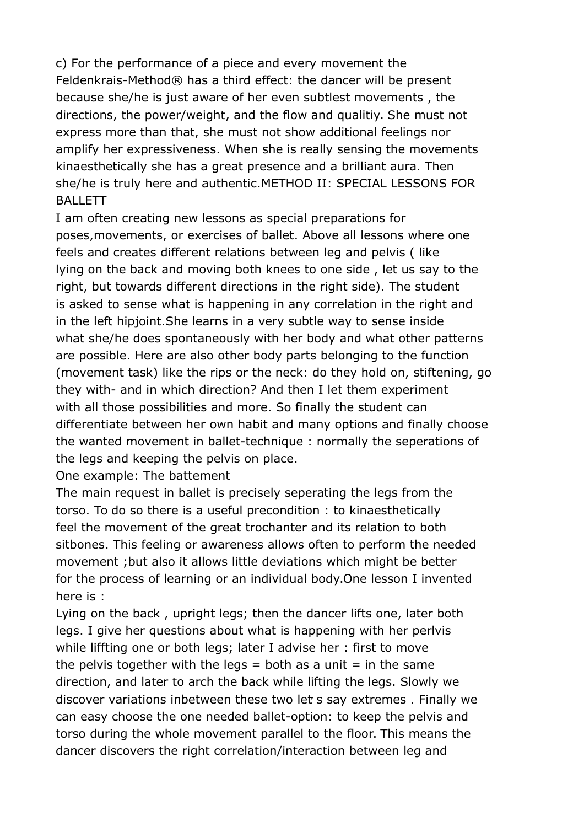c) For the performance of a piece and every movement the Feldenkrais-Method® has a third effect: the dancer will be present because she/he is just aware of her even subtlest movements , the directions, the power/weight, and the flow and qualitiy. She must not express more than that, she must not show additional feelings nor amplify her expressiveness. When she is really sensing the movements kinaesthetically she has a great presence and a brilliant aura. Then she/he is truly here and authentic.METHOD II: SPECIAL LESSONS FOR BALLETT

I am often creating new lessons as special preparations for poses,movements, or exercises of ballet. Above all lessons where one feels and creates different relations between leg and pelvis ( like lying on the back and moving both knees to one side , let us say to the right, but towards different directions in the right side). The student is asked to sense what is happening in any correlation in the right and in the left hipjoint.She learns in a very subtle way to sense inside what she/he does spontaneously with her body and what other patterns are possible. Here are also other body parts belonging to the function (movement task) like the rips or the neck: do they hold on, stiftening, go they with- and in which direction? And then I let them experiment with all those possibilities and more. So finally the student can differentiate between her own habit and many options and finally choose the wanted movement in ballet-technique : normally the seperations of the legs and keeping the pelvis on place.

One example: The battement

The main request in ballet is precisely seperating the legs from the torso. To do so there is a useful precondition : to kinaesthetically feel the movement of the great trochanter and its relation to both sitbones. This feeling or awareness allows often to perform the needed movement ;but also it allows little deviations which might be better for the process of learning or an individual body.One lesson I invented here is :

Lying on the back , upright legs; then the dancer lifts one, later both legs. I give her questions about what is happening with her perlvis while liffting one or both legs; later I advise her : first to move the pelvis together with the legs  $=$  both as a unit  $=$  in the same direction, and later to arch the back while lifting the legs. Slowly we discover variations inbetween these two let s say extremes. Finally we can easy choose the one needed ballet-option: to keep the pelvis and torso during the whole movement parallel to the floor. This means the dancer discovers the right correlation/interaction between leg and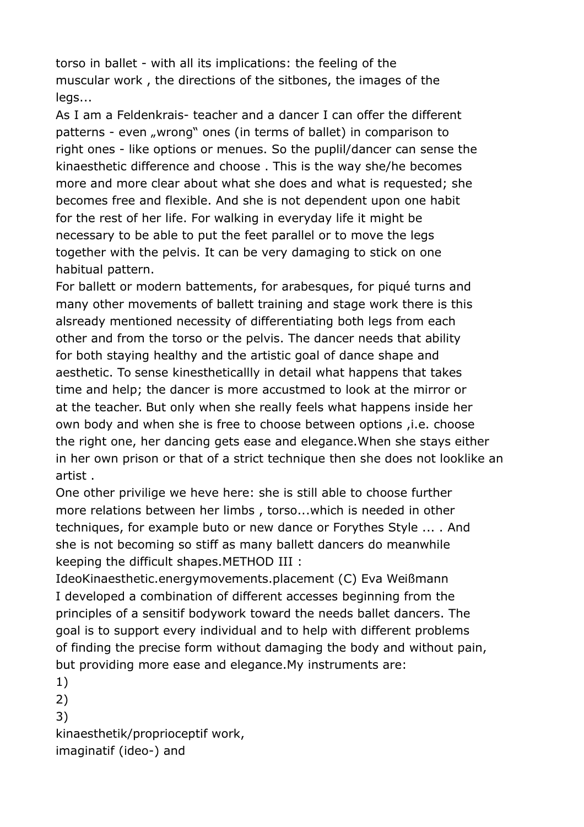torso in ballet - with all its implications: the feeling of the muscular work , the directions of the sitbones, the images of the legs...

As I am a Feldenkrais- teacher and a dancer I can offer the different patterns - even "wrong" ones (in terms of ballet) in comparison to right ones - like options or menues. So the puplil/dancer can sense the kinaesthetic difference and choose . This is the way she/he becomes more and more clear about what she does and what is requested; she becomes free and flexible. And she is not dependent upon one habit for the rest of her life. For walking in everyday life it might be necessary to be able to put the feet parallel or to move the legs together with the pelvis. It can be very damaging to stick on one habitual pattern.

For ballett or modern battements, for arabesques, for piqué turns and many other movements of ballett training and stage work there is this alsready mentioned necessity of differentiating both legs from each other and from the torso or the pelvis. The dancer needs that ability for both staying healthy and the artistic goal of dance shape and aesthetic. To sense kinestheticallly in detail what happens that takes time and help; the dancer is more accustmed to look at the mirror or at the teacher. But only when she really feels what happens inside her own body and when she is free to choose between options ,i.e. choose the right one, her dancing gets ease and elegance.When she stays either in her own prison or that of a strict technique then she does not looklike an artist .

One other privilige we heve here: she is still able to choose further more relations between her limbs , torso...which is needed in other techniques, for example buto or new dance or Forythes Style ... . And she is not becoming so stiff as many ballett dancers do meanwhile keeping the difficult shapes.METHOD III :

IdeoKinaesthetic.energymovements.placement (C) Eva Weißmann I developed a combination of different accesses beginning from the principles of a sensitif bodywork toward the needs ballet dancers. The goal is to support every individual and to help with different problems of finding the precise form without damaging the body and without pain, but providing more ease and elegance.My instruments are:

1) 2) 3) kinaesthetik/proprioceptif work, imaginatif (ideo-) and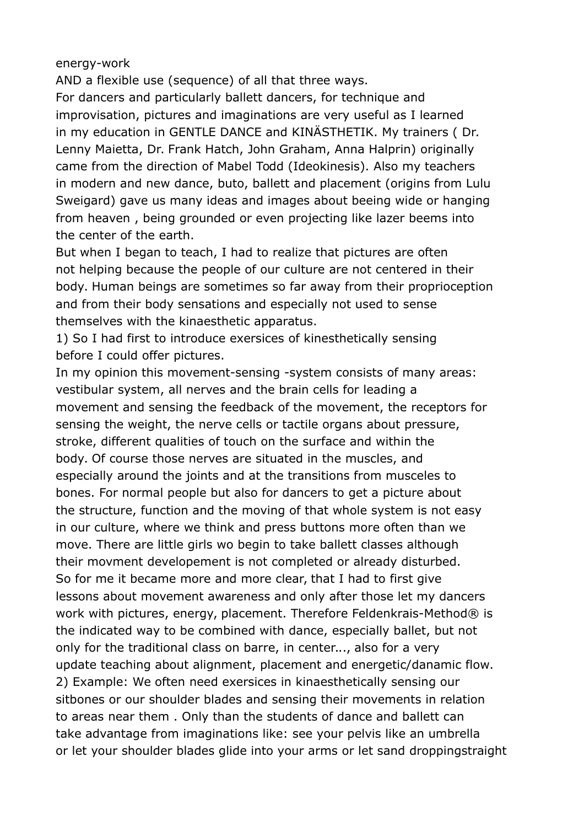energy-work

AND a flexible use (sequence) of all that three ways.

For dancers and particularly ballett dancers, for technique and improvisation, pictures and imaginations are very useful as I learned in my education in GENTLE DANCE and KINÄSTHETIK. My trainers ( Dr. Lenny Maietta, Dr. Frank Hatch, John Graham, Anna Halprin) originally came from the direction of Mabel Todd (Ideokinesis). Also my teachers in modern and new dance, buto, ballett and placement (origins from Lulu Sweigard) gave us many ideas and images about beeing wide or hanging from heaven , being grounded or even projecting like lazer beems into the center of the earth.

But when I began to teach, I had to realize that pictures are often not helping because the people of our culture are not centered in their body. Human beings are sometimes so far away from their proprioception and from their body sensations and especially not used to sense themselves with the kinaesthetic apparatus.

1) So I had first to introduce exersices of kinesthetically sensing before I could offer pictures.

In my opinion this movement-sensing -system consists of many areas: vestibular system, all nerves and the brain cells for leading a movement and sensing the feedback of the movement, the receptors for sensing the weight, the nerve cells or tactile organs about pressure, stroke, different qualities of touch on the surface and within the body. Of course those nerves are situated in the muscles, and especially around the joints and at the transitions from musceles to bones. For normal people but also for dancers to get a picture about the structure, function and the moving of that whole system is not easy in our culture, where we think and press buttons more often than we move. There are little girls wo begin to take ballett classes although their movment developement is not completed or already disturbed. So for me it became more and more clear, that I had to first give lessons about movement awareness and only after those let my dancers work with pictures, energy, placement. Therefore Feldenkrais-Method® is the indicated way to be combined with dance, especially ballet, but not only for the traditional class on barre, in center..., also for a very update teaching about alignment, placement and energetic/danamic flow. 2) Example: We often need exersices in kinaesthetically sensing our sitbones or our shoulder blades and sensing their movements in relation to areas near them . Only than the students of dance and ballett can take advantage from imaginations like: see your pelvis like an umbrella or let your shoulder blades glide into your arms or let sand droppingstraight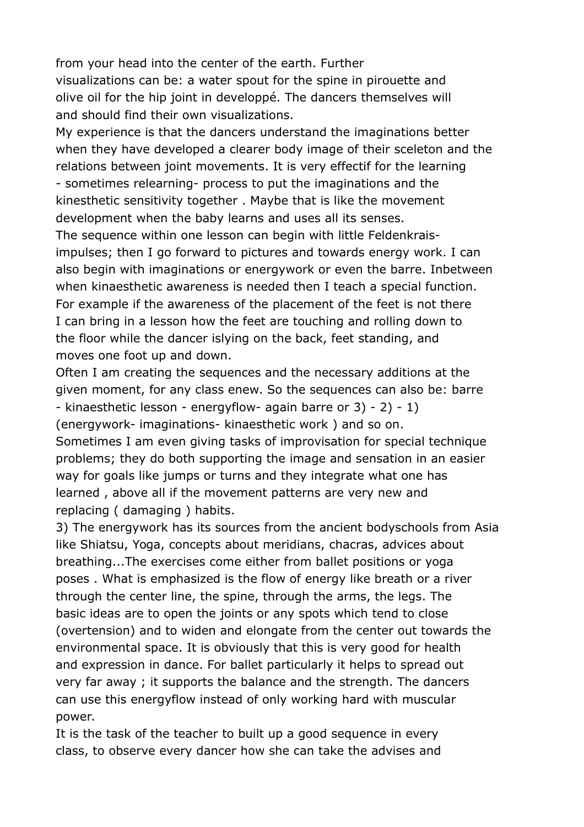from your head into the center of the earth. Further visualizations can be: a water spout for the spine in pirouette and olive oil for the hip joint in developpé. The dancers themselves will and should find their own visualizations.

My experience is that the dancers understand the imaginations better when they have developed a clearer body image of their sceleton and the relations between joint movements. It is very effectif for the learning - sometimes relearning- process to put the imaginations and the kinesthetic sensitivity together . Maybe that is like the movement development when the baby learns and uses all its senses.

The sequence within one lesson can begin with little Feldenkraisimpulses; then I go forward to pictures and towards energy work. I can also begin with imaginations or energywork or even the barre. Inbetween when kinaesthetic awareness is needed then I teach a special function. For example if the awareness of the placement of the feet is not there I can bring in a lesson how the feet are touching and rolling down to the floor while the dancer islying on the back, feet standing, and moves one foot up and down.

Often I am creating the sequences and the necessary additions at the given moment, for any class enew. So the sequences can also be: barre - kinaesthetic lesson - energyflow- again barre or 3) - 2) - 1) (energywork- imaginations- kinaesthetic work ) and so on. Sometimes I am even giving tasks of improvisation for special technique problems; they do both supporting the image and sensation in an easier way for goals like jumps or turns and they integrate what one has learned , above all if the movement patterns are very new and replacing ( damaging ) habits.

3) The energywork has its sources from the ancient bodyschools from Asia like Shiatsu, Yoga, concepts about meridians, chacras, advices about breathing...The exercises come either from ballet positions or yoga poses . What is emphasized is the flow of energy like breath or a river through the center line, the spine, through the arms, the legs. The basic ideas are to open the joints or any spots which tend to close (overtension) and to widen and elongate from the center out towards the environmental space. It is obviously that this is very good for health and expression in dance. For ballet particularly it helps to spread out very far away ; it supports the balance and the strength. The dancers can use this energyflow instead of only working hard with muscular power.

It is the task of the teacher to built up a good sequence in every class, to observe every dancer how she can take the advises and